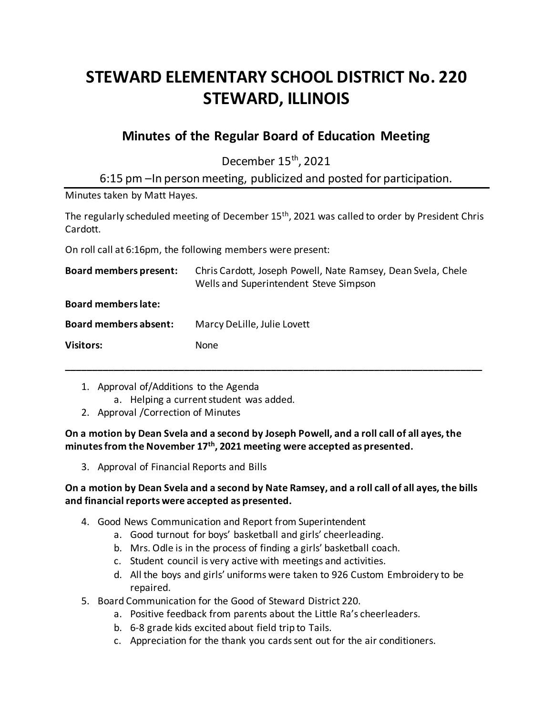# **STEWARD ELEMENTARY SCHOOL DISTRICT No. 220 STEWARD, ILLINOIS**

# **Minutes of the Regular Board of Education Meeting**

December 15<sup>th</sup>, 2021

6:15 pm –In person meeting, publicized and posted for participation.

Minutes taken by Matt Hayes.

The regularly scheduled meeting of December 15<sup>th</sup>, 2021 was called to order by President Chris Cardott.

On roll call at 6:16pm, the following members were present:

| <b>Board members present:</b> | Chris Cardott, Joseph Powell, Nate Ramsey, Dean Svela, Chele<br>Wells and Superintendent Steve Simpson |
|-------------------------------|--------------------------------------------------------------------------------------------------------|
| <b>Board members late:</b>    |                                                                                                        |
| <b>Board members absent:</b>  | Marcy DeLille, Julie Lovett                                                                            |
| <b>Visitors:</b>              | None                                                                                                   |
|                               |                                                                                                        |

- 1. Approval of/Additions to the Agenda a. Helping a current student was added.
- 2. Approval /Correction of Minutes

**On a motion by Dean Svela and a second by Joseph Powell, and a roll call of all ayes, the minutes from the November 17th, 2021 meeting were accepted as presented.**

3. Approval of Financial Reports and Bills

## **On a motion by Dean Svela and a second by Nate Ramsey, and a roll call of all ayes, the bills and financial reports were accepted as presented.**

- 4. Good News Communication and Report from Superintendent
	- a. Good turnout for boys' basketball and girls' cheerleading.
	- b. Mrs. Odle is in the process of finding a girls' basketball coach.
	- c. Student council is very active with meetings and activities.
	- d. All the boys and girls' uniforms were taken to 926 Custom Embroidery to be repaired.
- 5. Board Communication for the Good of Steward District 220.
	- a. Positive feedback from parents about the Little Ra's cheerleaders.
	- b. 6-8 grade kids excited about field trip to Tails.
	- c. Appreciation for the thank you cards sent out for the air conditioners.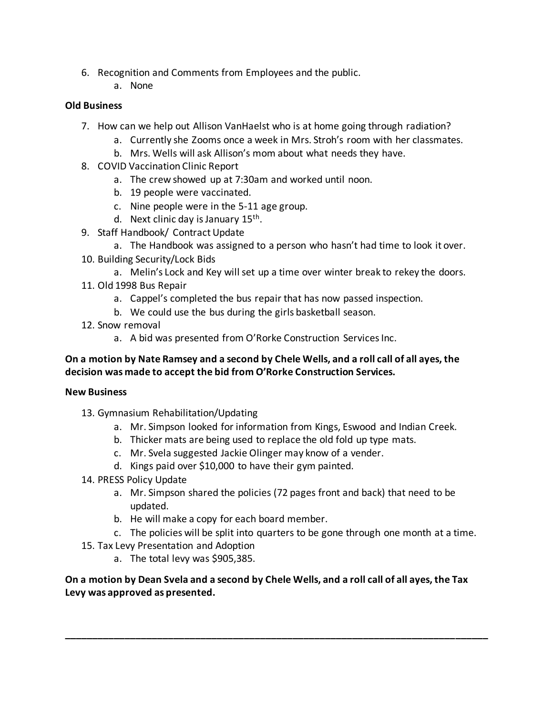- 6. Recognition and Comments from Employees and the public.
	- a. None

#### **Old Business**

- 7. How can we help out Allison VanHaelst who is at home going through radiation?
	- a. Currently she Zooms once a week in Mrs. Stroh's room with her classmates.
	- b. Mrs. Wells will ask Allison's mom about what needs they have.
- 8. COVID Vaccination Clinic Report
	- a. The crew showed up at 7:30am and worked until noon.
	- b. 19 people were vaccinated.
	- c. Nine people were in the 5-11 age group.
	- d. Next clinic day is January 15<sup>th</sup>.
- 9. Staff Handbook/ Contract Update
	- a. The Handbook was assigned to a person who hasn't had time to look it over.
- 10. Building Security/Lock Bids
	- a. Melin's Lock and Key will set up a time over winter break to rekey the doors.
- 11. Old 1998 Bus Repair
	- a. Cappel's completed the bus repair that has now passed inspection.
	- b. We could use the bus during the girls basketball season.
- 12. Snow removal
	- a. A bid was presented from O'Rorke Construction Services Inc.

# **On a motion by Nate Ramsey and a second by Chele Wells, and a roll call of all ayes, the decision was made to accept the bid from O'Rorke Construction Services.**

## **New Business**

- 13. Gymnasium Rehabilitation/Updating
	- a. Mr. Simpson looked for information from Kings, Eswood and Indian Creek.
	- b. Thicker mats are being used to replace the old fold up type mats.
	- c. Mr. Svela suggested Jackie Olinger may know of a vender.
	- d. Kings paid over \$10,000 to have their gym painted.
- 14. PRESS Policy Update
	- a. Mr. Simpson shared the policies (72 pages front and back) that need to be updated.
	- b. He will make a copy for each board member.
	- c. The policies will be split into quarters to be gone through one month at a time.
- 15. Tax Levy Presentation and Adoption
	- a. The total levy was \$905,385.

# **On a motion by Dean Svela and a second by Chele Wells, and a roll call of all ayes, the Tax Levy was approved as presented.**

**\_\_\_\_\_\_\_\_\_\_\_\_\_\_\_\_\_\_\_\_\_\_\_\_\_\_\_\_\_\_\_\_\_\_\_\_\_\_\_\_\_\_\_\_\_\_\_\_\_\_\_\_\_\_\_\_\_\_\_\_\_\_\_\_\_\_\_\_\_\_\_\_\_\_\_\_\_\_**